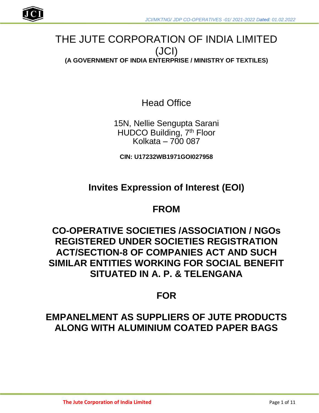

## THE JUTE CORPORATION OF INDIA LIMITED (JCI) **(A GOVERNMENT OF INDIA ENTERPRISE / MINISTRY OF TEXTILES)**

Head Office

15N, Nellie Sengupta Sarani HUDCO Building, 7<sup>th</sup> Floor Kolkata –  $7000087$ 

**CIN: U17232WB1971GOI027958**

## **Invites Expression of Interest (EOI)**

## **FROM**

## **CO-OPERATIVE SOCIETIES /ASSOCIATION / NGOs REGISTERED UNDER SOCIETIES REGISTRATION ACT/SECTION-8 OF COMPANIES ACT AND SUCH SIMILAR ENTITIES WORKING FOR SOCIAL BENEFIT SITUATED IN A. P. & TELENGANA**

## **FOR**

## **EMPANELMENT AS SUPPLIERS OF JUTE PRODUCTS ALONG WITH ALUMINIUM COATED PAPER BAGS**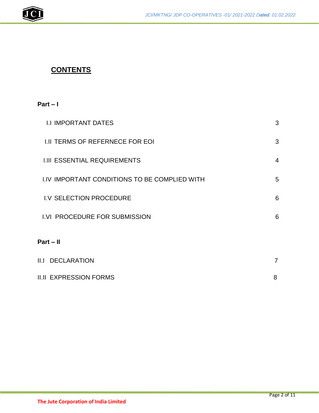

## **CONTENTS**

## **Part – I**

| <b>I.I IMPORTANT DATES</b>                           | 3              |
|------------------------------------------------------|----------------|
| <b>I.II TERMS OF REFERNECE FOR EOI</b>               | 3              |
| <b>I.III ESSENTIAL REQUIREMENTS</b>                  | $\overline{4}$ |
| <b>I.IV IMPORTANT CONDITIONS TO BE COMPLIED WITH</b> | 5              |
| I.V SELECTION PROCEDURE                              | 6              |
| I.VI PROCEDURE FOR SUBMISSION                        | 6              |
| $Part - II$                                          |                |
| <b>II.I DECLARATION</b>                              | $\overline{7}$ |
| <b>II.II EXPRESSION FORMS</b>                        | 8              |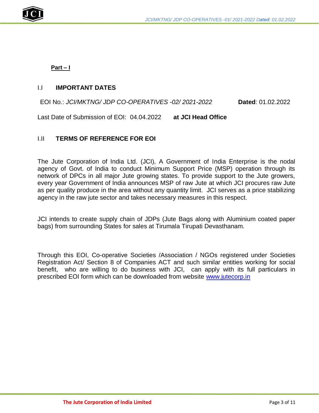

**Part – I**

### I.I **IMPORTANT DATES**

### EOI No.: *JCI/MKTNG/ JDP CO-OPERATIVES -02/ 2021-2022* **Dated**: 01.02.2022

Last Date of Submission of EOI: 04.04.2022 **at JCI Head Office**

### I.II **TERMS OF REFERENCE FOR EOI**

The Jute Corporation of India Ltd. (JCI), A Government of India Enterprise is the nodal agency of Govt. of India to conduct Minimum Support Price (MSP) operation through its network of DPCs in all major Jute growing states. To provide support to the Jute growers, every year Government of India announces MSP of raw Jute at which JCI procures raw Jute as per quality produce in the area without any quantity limit. JCI serves as a price stabilizing agency in the raw jute sector and takes necessary measures in this respect.

JCI intends to create supply chain of JDPs (Jute Bags along with Aluminium coated paper bags) from surrounding States for sales at Tirumala Tirupati Devasthanam.

Through this EOI, Co-operative Societies /Association / NGOs registered under Societies Registration Act/ Section 8 of Companies ACT and such similar entities working for social benefit, who are willing to do business with JCI, can apply with its full particulars in prescribed EOI form which can be downloaded from website [www.jutecorp.in](http://www.jutecorp.in/)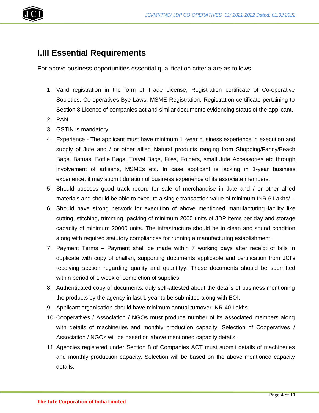



## **I.III Essential Requirements**

For above business opportunities essential qualification criteria are as follows:

- 1. Valid registration in the form of Trade License, Registration certificate of Co-operative Societies, Co-operatives Bye Laws, MSME Registration, Registration certificate pertaining to Section 8 Licence of companies act and similar documents evidencing status of the applicant.
- 2. PAN
- 3. GSTIN is mandatory.
- 4. Experience The applicant must have minimum 1 -year business experience in execution and supply of Jute and / or other allied Natural products ranging from Shopping/Fancy/Beach Bags, Batuas, Bottle Bags, Travel Bags, Files, Folders, small Jute Accessories etc through involvement of artisans, MSMEs etc. In case applicant is lacking in 1-year business experience, it may submit duration of business experience of its associate members.
- 5. Should possess good track record for sale of merchandise in Jute and / or other allied materials and should be able to execute a single transaction value of minimum INR 6 Lakhs/-.
- 6. Should have strong network for execution of above mentioned manufacturing facility like cutting, stitching, trimming, packing of minimum 2000 units of JDP items per day and storage capacity of minimum 20000 units. The infrastructure should be in clean and sound condition along with required statutory compliances for running a manufacturing establishment.
- 7. Payment Terms Payment shall be made within 7 working days after receipt of bills in duplicate with copy of challan, supporting documents applicable and certification from JCI's receiving section regarding quality and quantityy. These documents should be submitted within period of 1 week of completion of supplies.
- 8. Authenticated copy of documents, duly self-attested about the details of business mentioning the products by the agency in last 1 year to be submitted along with EOI.
- 9. Applicant organisation should have minimum annual turnover INR 40 Lakhs.
- 10. Cooperatives / Association / NGOs must produce number of its associated members along with details of machineries and monthly production capacity. Selection of Cooperatives / Association / NGOs will be based on above mentioned capacity details.
- 11. Agencies registered under Section 8 of Companies ACT must submit details of machineries and monthly production capacity. Selection will be based on the above mentioned capacity details.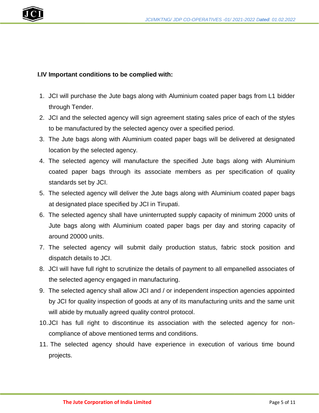

### **I.IV Important conditions to be complied with:**

- 1. JCI will purchase the Jute bags along with Aluminium coated paper bags from L1 bidder through Tender.
- 2. JCI and the selected agency will sign agreement stating sales price of each of the styles to be manufactured by the selected agency over a specified period.
- 3. The Jute bags along with Aluminium coated paper bags will be delivered at designated location by the selected agency.
- 4. The selected agency will manufacture the specified Jute bags along with Aluminium coated paper bags through its associate members as per specification of quality standards set by JCI.
- 5. The selected agency will deliver the Jute bags along with Aluminium coated paper bags at designated place specified by JCI in Tirupati.
- 6. The selected agency shall have uninterrupted supply capacity of minimum 2000 units of Jute bags along with Aluminium coated paper bags per day and storing capacity of around 20000 units.
- 7. The selected agency will submit daily production status, fabric stock position and dispatch details to JCI.
- 8. JCI will have full right to scrutinize the details of payment to all empanelled associates of the selected agency engaged in manufacturing.
- 9. The selected agency shall allow JCI and / or independent inspection agencies appointed by JCI for quality inspection of goods at any of its manufacturing units and the same unit will abide by mutually agreed quality control protocol.
- 10.JCI has full right to discontinue its association with the selected agency for noncompliance of above mentioned terms and conditions.
- 11. The selected agency should have experience in execution of various time bound projects.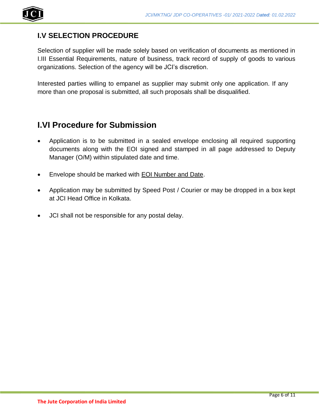

## **I.V SELECTION PROCEDURE**

Selection of supplier will be made solely based on verification of documents as mentioned in I.III Essential Requirements, nature of business, track record of supply of goods to various organizations. Selection of the agency will be JCI's discretion.

Interested parties willing to empanel as supplier may submit only one application. If any more than one proposal is submitted, all such proposals shall be disqualified.

## **I.VI Procedure for Submission**

- Application is to be submitted in a sealed envelope enclosing all required supporting documents along with the EOI signed and stamped in all page addressed to Deputy Manager (O/M) within stipulated date and time.
- Envelope should be marked with EOI Number and Date.
- Application may be submitted by Speed Post / Courier or may be dropped in a box kept at JCI Head Office in Kolkata.
- JCI shall not be responsible for any postal delay.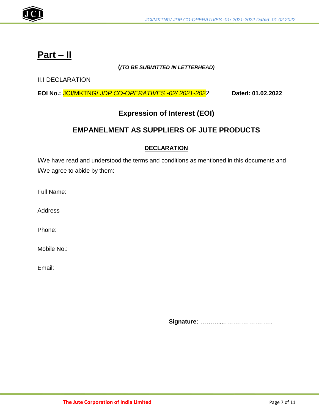

## **Part – II**

### **(***(TO BE SUBMITTED IN LETTERHEAD)*

II.I DECLARATION

**EOI No.:** JCI/MKTNG/ *JDP CO-OPERATIVES -02/ 2021-2022* **Dated: 01.02.2022**

## **Expression of Interest (EOI)**

## **EMPANELMENT AS SUPPLIERS OF JUTE PRODUCTS**

### **DECLARATION**

I/We have read and understood the terms and conditions as mentioned in this documents and I/We agree to abide by them:

Full Name:

**Address** 

Phone:

Mobile No.:

Email:

**Signature:** ………...…………………….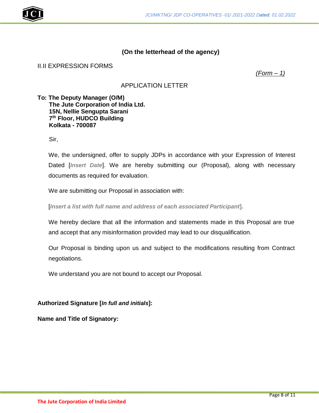

### **(On the letterhead of the agency)**

#### II.II EXPRESSION FORMS

*(Form – 1)*

### APPLICATION LETTER

**To: The Deputy Manager (O/M) The Jute Corporation of India Ltd. 15N, Nellie Sengupta Sarani 7 th Floor, HUDCO Building Kolkata - 700087**

Sir,

We, the undersigned, offer to supply JDPs in accordance with your Expression of Interest Dated [*Insert Date*]. We are hereby submitting our (Proposal), along with necessary documents as required for evaluation.

We are submitting our Proposal in association with:

[*Insert a list with full name and address of each associated Participant***].**

We hereby declare that all the information and statements made in this Proposal are true and accept that any misinformation provided may lead to our disqualification.

Our Proposal is binding upon us and subject to the modifications resulting from Contract negotiations.

We understand you are not bound to accept our Proposal.

**Authorized Signature [***In full and initials***]:**

**Name and Title of Signatory:**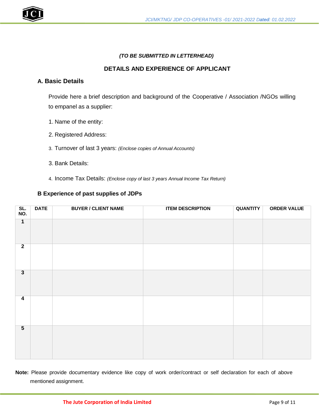

#### *(TO BE SUBMITTED IN LETTERHEAD)*

#### **DETAILS AND EXPERIENCE OF APPLICANT**

### **A. Basic Details**

Provide here a brief description and background of the Cooperative / Association /NGOs willing to empanel as a supplier:

- 1. Name of the entity:
- 2. Registered Address:
- 3. Turnover of last 3 years: *(Enclose copies of Annual Accounts)*
- 3. Bank Details:
- 4. Income Tax Details: *(Enclose copy of last 3 years Annual Income Tax Return)*

#### **B Experience of past supplies of JDPs**

| SL.<br>NO.              | <b>DATE</b> | <b>BUYER / CLIENT NAME</b> | <b>ITEM DESCRIPTION</b> | <b>QUANTITY</b> | <b>ORDER VALUE</b> |
|-------------------------|-------------|----------------------------|-------------------------|-----------------|--------------------|
| $\overline{1}$          |             |                            |                         |                 |                    |
| $\overline{2}$          |             |                            |                         |                 |                    |
| $\overline{\mathbf{3}}$ |             |                            |                         |                 |                    |
| $\overline{\mathbf{4}}$ |             |                            |                         |                 |                    |
| $\overline{\mathbf{5}}$ |             |                            |                         |                 |                    |

**Note:** Please provide documentary evidence like copy of work order/contract or self declaration for each of above mentioned assignment.

#### **The Jute Corporation of India Limited**  Page 9 of 11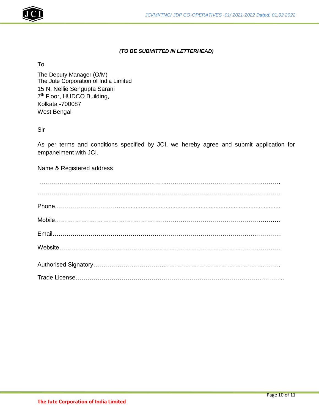

#### *(TO BE SUBMITTED IN LETTERHEAD)*

To

The Deputy Manager (O/M) The Jute Corporation of India Limited 15 N, Nellie Sengupta Sarani 7<sup>th</sup> Floor, HUDCO Building, Kolkata -700087 West Bengal

Sir

As per terms and conditions specified by JCI, we hereby agree and submit application for empanelment with JCI.

Name & Registered address